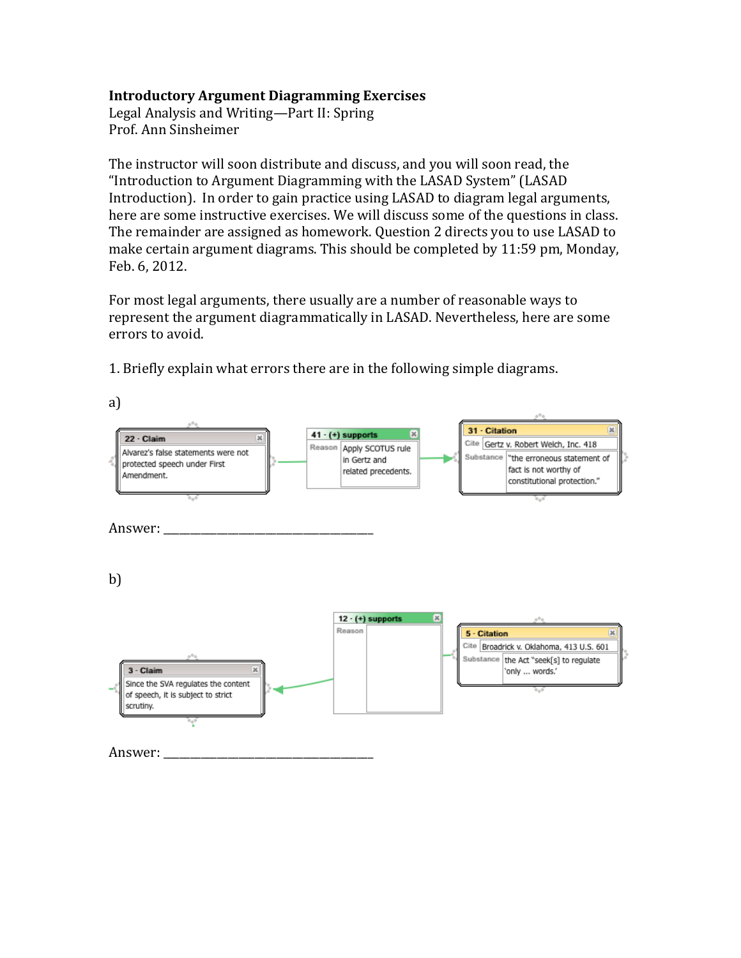## **Introductory Argument\*Diagramming\*Exercises**

Legal Analysis and Writing—Part II: Spring Prof. Ann Sinsheimer

The instructor will soon distribute and discuss, and you will soon read, the "Introduction to Argument Diagramming with the LASAD System" (LASAD) Introduction). In order to gain practice using LASAD to diagram legal arguments, here are some instructive exercises. We will discuss some of the questions in class. The remainder are assigned as homework. Question 2 directs you to use LASAD to make certain argument diagrams. This should be completed by 11:59 pm, Monday, Feb. 6, 2012.

For most legal arguments, there usually are a number of reasonable ways to represent the argument diagrammatically in LASAD. Nevertheless, here are some errors to avoid.

a) 31 - Citation  $41 \cdot (+)$  supports × 22 - Claim  $\overline{\mathbf{x}}$ Cite Gertz v. Robert Welch, Inc. 418 Reason Apply SCOTUS rule Alvarez's false statements were not Substance the erroneous statement of in Gertz and protected speech under First fact is not worthy of related precedents. Amendment. constitutional protection." Answer: \_  $b$  $12 \cdot (+)$  supports Reason 5 - Citation Cite Broadrick v. Oklahoma, 413 U.S. 601 Substance the Act "seek[s] to regulate 3 - Claim 'only ... words.' Since the SVA regulates the content of speech, it is subject to strict scrutiny. Answer: <u>'</u>

1. Briefly explain what errors there are in the following simple diagrams.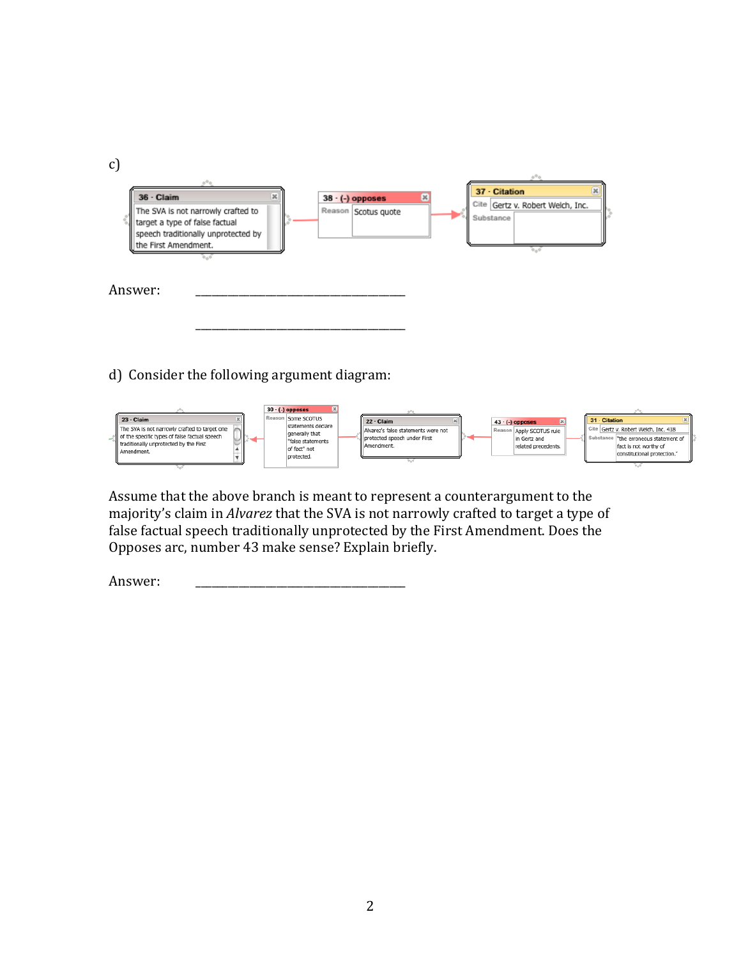

d) Consider the following argument diagram:



Assume that the above branch is meant to represent a counterargument to the majority's claim in *Alvarez* that the SVA is not narrowly crafted to target a type of false factual speech traditionally unprotected by the First Amendment. Does the Opposes arc, number 43 make sense? Explain briefly.

Answer: